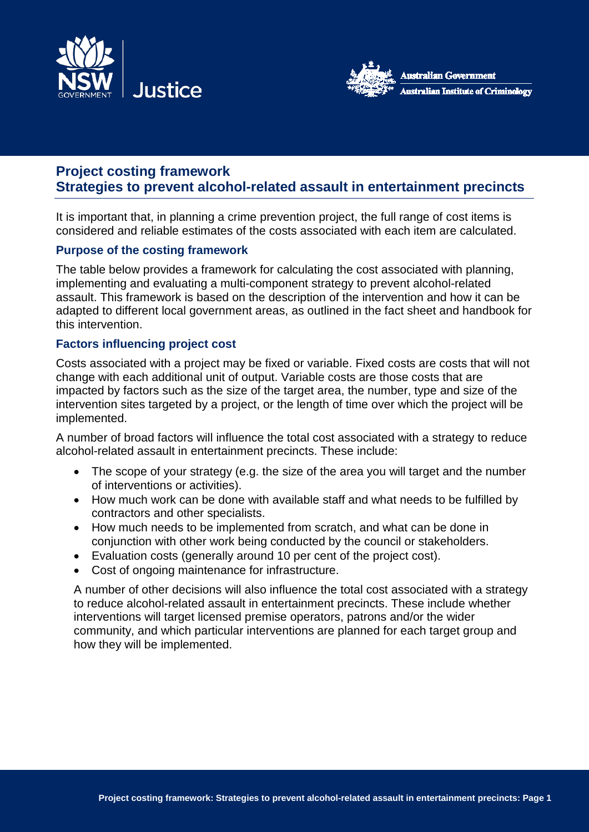



# **Project costing framework Strategies to prevent alcohol-related assault in entertainment precincts**

It is important that, in planning a crime prevention project, the full range of cost items is considered and reliable estimates of the costs associated with each item are calculated.

### **Purpose of the costing framework**

The table below provides a framework for calculating the cost associated with planning, implementing and evaluating a multi-component strategy to prevent alcohol-related assault. This framework is based on the description of the intervention and how it can be adapted to different local government areas, as outlined in the fact sheet and handbook for this intervention.

### **Factors influencing project cost**

Costs associated with a project may be fixed or variable. Fixed costs are costs that will not change with each additional unit of output. Variable costs are those costs that are impacted by factors such as the size of the target area, the number, type and size of the intervention sites targeted by a project, or the length of time over which the project will be implemented.

A number of broad factors will influence the total cost associated with a strategy to reduce alcohol-related assault in entertainment precincts. These include:

- The scope of your strategy (e.g. the size of the area you will target and the number of interventions or activities).
- How much work can be done with available staff and what needs to be fulfilled by contractors and other specialists.
- How much needs to be implemented from scratch, and what can be done in conjunction with other work being conducted by the council or stakeholders.
- Evaluation costs (generally around 10 per cent of the project cost).
- Cost of ongoing maintenance for infrastructure.

A number of other decisions will also influence the total cost associated with a strategy to reduce alcohol-related assault in entertainment precincts. These include whether interventions will target licensed premise operators, patrons and/or the wider community, and which particular interventions are planned for each target group and how they will be implemented.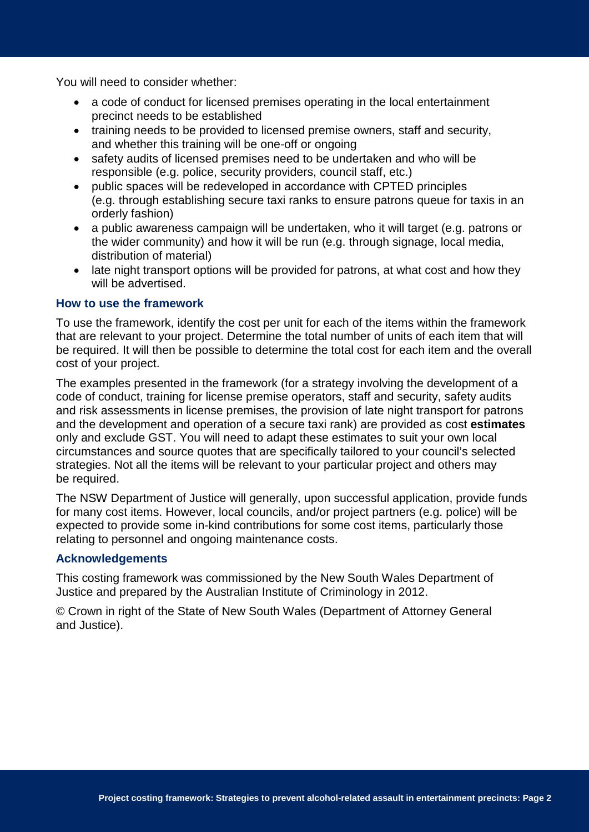You will need to consider whether:

- a code of conduct for licensed premises operating in the local entertainment precinct needs to be established
- training needs to be provided to licensed premise owners, staff and security, and whether this training will be one-off or ongoing
- safety audits of licensed premises need to be undertaken and who will be responsible (e.g. police, security providers, council staff, etc.)
- public spaces will be redeveloped in accordance with CPTED principles (e.g. through establishing secure taxi ranks to ensure patrons queue for taxis in an orderly fashion)
- a public awareness campaign will be undertaken, who it will target (e.g. patrons or the wider community) and how it will be run (e.g. through signage, local media, distribution of material)
- late night transport options will be provided for patrons, at what cost and how they will be advertised.

### **How to use the framework**

To use the framework, identify the cost per unit for each of the items within the framework that are relevant to your project. Determine the total number of units of each item that will be required. It will then be possible to determine the total cost for each item and the overall cost of your project.

The examples presented in the framework (for a strategy involving the development of a code of conduct, training for license premise operators, staff and security, safety audits and risk assessments in license premises, the provision of late night transport for patrons and the development and operation of a secure taxi rank) are provided as cost **estimates** only and exclude GST. You will need to adapt these estimates to suit your own local circumstances and source quotes that are specifically tailored to your council's selected strategies. Not all the items will be relevant to your particular project and others may be required.

The NSW Department of Justice will generally, upon successful application, provide funds for many cost items. However, local councils, and/or project partners (e.g. police) will be expected to provide some in-kind contributions for some cost items, particularly those relating to personnel and ongoing maintenance costs.

#### **Acknowledgements**

This costing framework was commissioned by the New South Wales Department of Justice and prepared by the Australian Institute of Criminology in 2012.

© Crown in right of the State of New South Wales (Department of Attorney General and Justice).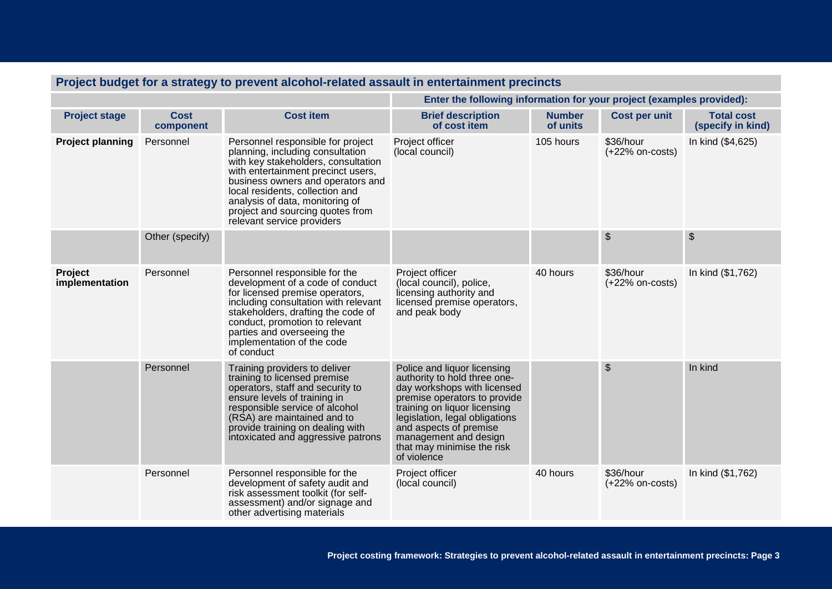| Project budget for a strategy to prevent alcohol-related assault in entertainment precincts |                          |                                                                                                                                                                                                                                                                                                                                 |                                                                                                                                                                                                                                                                                              |                           |                                |                                        |  |
|---------------------------------------------------------------------------------------------|--------------------------|---------------------------------------------------------------------------------------------------------------------------------------------------------------------------------------------------------------------------------------------------------------------------------------------------------------------------------|----------------------------------------------------------------------------------------------------------------------------------------------------------------------------------------------------------------------------------------------------------------------------------------------|---------------------------|--------------------------------|----------------------------------------|--|
|                                                                                             |                          |                                                                                                                                                                                                                                                                                                                                 | Enter the following information for your project (examples provided):                                                                                                                                                                                                                        |                           |                                |                                        |  |
| <b>Project stage</b>                                                                        | <b>Cost</b><br>component | <b>Cost item</b>                                                                                                                                                                                                                                                                                                                | <b>Brief description</b><br>of cost item                                                                                                                                                                                                                                                     | <b>Number</b><br>of units | Cost per unit                  | <b>Total cost</b><br>(specify in kind) |  |
| <b>Project planning</b>                                                                     | Personnel                | Personnel responsible for project<br>planning, including consultation<br>with key stakeholders, consultation<br>with entertainment precinct users,<br>business owners and operators and<br>local residents, collection and<br>analysis of data, monitoring of<br>project and sourcing quotes from<br>relevant service providers | Project officer<br>(local council)                                                                                                                                                                                                                                                           | 105 hours                 | \$36/hour<br>$(+22%$ on-costs) | In kind (\$4,625)                      |  |
|                                                                                             | Other (specify)          |                                                                                                                                                                                                                                                                                                                                 |                                                                                                                                                                                                                                                                                              |                           | $\frac{1}{2}$                  | $\frac{1}{2}$                          |  |
| <b>Project</b><br>implementation                                                            | Personnel                | Personnel responsible for the<br>development of a code of conduct<br>for licensed premise operators,<br>including consultation with relevant<br>stakeholders, drafting the code of<br>conduct, promotion to relevant<br>parties and overseeing the<br>implementation of the code<br>of conduct                                  | Project officer<br>(local council), police,<br>licensing authority and<br>licensed premise operators,<br>and peak body                                                                                                                                                                       | 40 hours                  | \$36/hour<br>$(+22%$ on-costs) | In kind (\$1,762)                      |  |
|                                                                                             | Personnel                | Training providers to deliver<br>training to licensed premise<br>operators, staff and security to<br>ensure levels of training in<br>responsible service of alcohol<br>(RSA) are maintained and to<br>provide training on dealing with<br>intoxicated and aggressive patrons                                                    | Police and liquor licensing<br>authority to hold three one-<br>day workshops with licensed<br>premise operators to provide<br>training on liquor licensing<br>legislation, legal obligations<br>and aspects of premise<br>management and design<br>that may minimise the risk<br>of violence |                           | $\frac{1}{2}$                  | In kind                                |  |
|                                                                                             | Personnel                | Personnel responsible for the<br>development of safety audit and<br>risk assessment toolkit (for self-<br>assessment) and/or signage and<br>other advertising materials                                                                                                                                                         | Project officer<br>(local council)                                                                                                                                                                                                                                                           | 40 hours                  | \$36/hour<br>$(+22%$ on-costs) | In kind (\$1,762)                      |  |

# **Project budget for a strategy to prevent alcohol-related assault in entertainment precincts**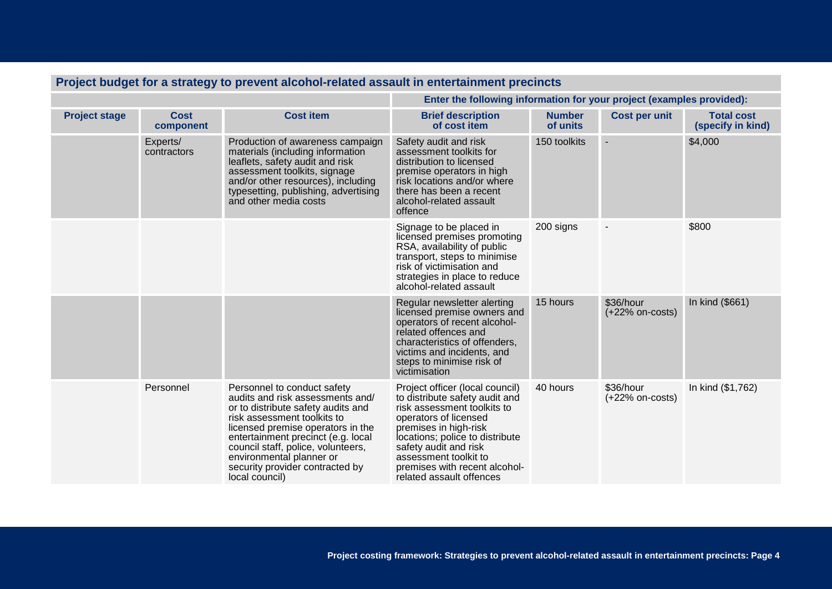| Project budget for a strategy to prevent alcohol-related assault in emerican intent precincts |                          |                                                                                                                                                                                                                                                                                                                                        |                                                                                                                                                                                                                                                                                                      |                           |                                |                                        |  |
|-----------------------------------------------------------------------------------------------|--------------------------|----------------------------------------------------------------------------------------------------------------------------------------------------------------------------------------------------------------------------------------------------------------------------------------------------------------------------------------|------------------------------------------------------------------------------------------------------------------------------------------------------------------------------------------------------------------------------------------------------------------------------------------------------|---------------------------|--------------------------------|----------------------------------------|--|
|                                                                                               |                          |                                                                                                                                                                                                                                                                                                                                        | Enter the following information for your project (examples provided):                                                                                                                                                                                                                                |                           |                                |                                        |  |
| <b>Project stage</b>                                                                          | <b>Cost</b><br>component | <b>Cost item</b>                                                                                                                                                                                                                                                                                                                       | <b>Brief description</b><br>of cost item                                                                                                                                                                                                                                                             | <b>Number</b><br>of units | <b>Cost per unit</b>           | <b>Total cost</b><br>(specify in kind) |  |
|                                                                                               | Experts/<br>contractors  | Production of awareness campaign<br>materials (including information<br>leaflets, safety audit and risk<br>assessment toolkits, signage<br>and/or other resources), including<br>typesetting, publishing, advertising<br>and other media costs                                                                                         | Safety audit and risk<br>assessment toolkits for<br>distribution to licensed<br>premise operators in high<br>risk locations and/or where<br>there has been a recent<br>alcohol-related assault<br>offence                                                                                            | 150 toolkits              |                                | \$4,000                                |  |
|                                                                                               |                          |                                                                                                                                                                                                                                                                                                                                        | Signage to be placed in<br>licensed premises promoting<br>RSA, availability of public<br>transport, steps to minimise<br>risk of victimisation and<br>strategies in place to reduce<br>alcohol-related assault                                                                                       | 200 signs                 |                                | \$800                                  |  |
|                                                                                               |                          |                                                                                                                                                                                                                                                                                                                                        | Regular newsletter alerting<br>licensed premise owners and<br>operators of recent alcohol-<br>related offences and<br>characteristics of offenders,<br>victims and incidents, and<br>steps to minimise risk of<br>victimisation                                                                      | 15 hours                  | \$36/hour<br>$(+22%$ on-costs) | In kind (\$661)                        |  |
|                                                                                               | Personnel                | Personnel to conduct safety<br>audits and risk assessments and/<br>or to distribute safety audits and<br>risk assessment toolkits to<br>licensed premise operators in the<br>entertainment precinct (e.g. local<br>council staff, police, volunteers,<br>environmental planner or<br>security provider contracted by<br>local council) | Project officer (local council)<br>to distribute safety audit and<br>risk assessment toolkits to<br>operators of licensed<br>premises in high-risk<br>locations; police to distribute<br>safety audit and risk<br>assessment toolkit to<br>premises with recent alcohol-<br>related assault offences | 40 hours                  | \$36/hour<br>$(+22%$ on-costs) | In kind (\$1,762)                      |  |

# **Project budget for a strategy to prevent alcohol-related assault in entertainment precincts**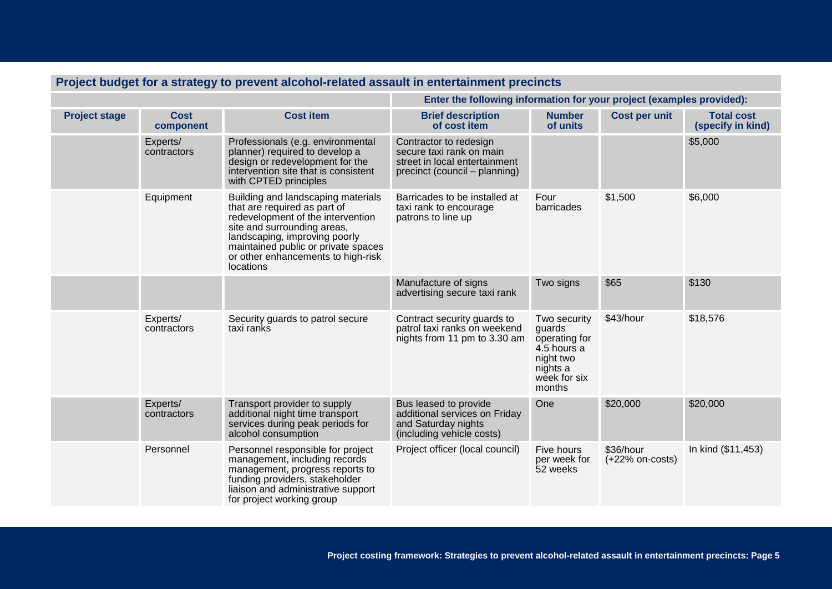| r ruject budyet for a strategy to prevent alcohol-related assault in entertainment precincts |                          |                                                                                                                                                                                                                                                                   |                                                                                                                      |                                                                                                           |                                |                                        |  |
|----------------------------------------------------------------------------------------------|--------------------------|-------------------------------------------------------------------------------------------------------------------------------------------------------------------------------------------------------------------------------------------------------------------|----------------------------------------------------------------------------------------------------------------------|-----------------------------------------------------------------------------------------------------------|--------------------------------|----------------------------------------|--|
|                                                                                              |                          |                                                                                                                                                                                                                                                                   | Enter the following information for your project (examples provided):                                                |                                                                                                           |                                |                                        |  |
| <b>Project stage</b>                                                                         | <b>Cost</b><br>component | <b>Cost item</b>                                                                                                                                                                                                                                                  | <b>Brief description</b><br>of cost item                                                                             | <b>Number</b><br>of units                                                                                 | <b>Cost per unit</b>           | <b>Total cost</b><br>(specify in kind) |  |
|                                                                                              | Experts/<br>contractors  | Professionals (e.g. environmental<br>planner) required to develop a<br>design or redevelopment for the<br>intervention site that is consistent<br>with CPTED principles                                                                                           | Contractor to redesign<br>secure taxi rank on main<br>street in local entertainment<br>precinct (council – planning) |                                                                                                           |                                | \$5,000                                |  |
|                                                                                              | Equipment                | Building and landscaping materials<br>that are required as part of<br>redevelopment of the intervention<br>site and surrounding areas,<br>landscaping, improving poorly<br>maintained public or private spaces<br>or other enhancements to high-risk<br>locations | Barricades to be installed at<br>taxi rank to encourage<br>patrons to line up                                        | Four<br>barricades                                                                                        | \$1,500                        | \$6,000                                |  |
|                                                                                              |                          |                                                                                                                                                                                                                                                                   | Manufacture of signs<br>advertising secure taxi rank                                                                 | Two signs                                                                                                 | \$65                           | \$130                                  |  |
|                                                                                              | Experts/<br>contractors  | Security guards to patrol secure<br>taxi ranks                                                                                                                                                                                                                    | Contract security guards to<br>patrol taxi ranks on weekend<br>nights from 11 pm to 3.30 am                          | Two security<br>guards<br>operating for<br>4.5 hours a<br>night two<br>nights a<br>week for six<br>months | \$43/hour                      | \$18,576                               |  |
|                                                                                              | Experts/<br>contractors  | Transport provider to supply<br>additional night time transport<br>services during peak periods for<br>alcohol consumption                                                                                                                                        | Bus leased to provide<br>additional services on Friday<br>and Saturday nights<br>(including vehicle costs)           | One                                                                                                       | \$20,000                       | \$20,000                               |  |
|                                                                                              | Personnel                | Personnel responsible for project<br>management, including records<br>management, progress reports to<br>funding providers, stakeholder<br>liaison and administrative support<br>for project working group                                                        | Project officer (local council)                                                                                      | Five hours<br>per week for<br>52 weeks                                                                    | \$36/hour<br>$(+22%$ on-costs) | In kind (\$11,453)                     |  |

## **Project budget for a strategy to prevent alcohol-related assault in entertainment precincts**